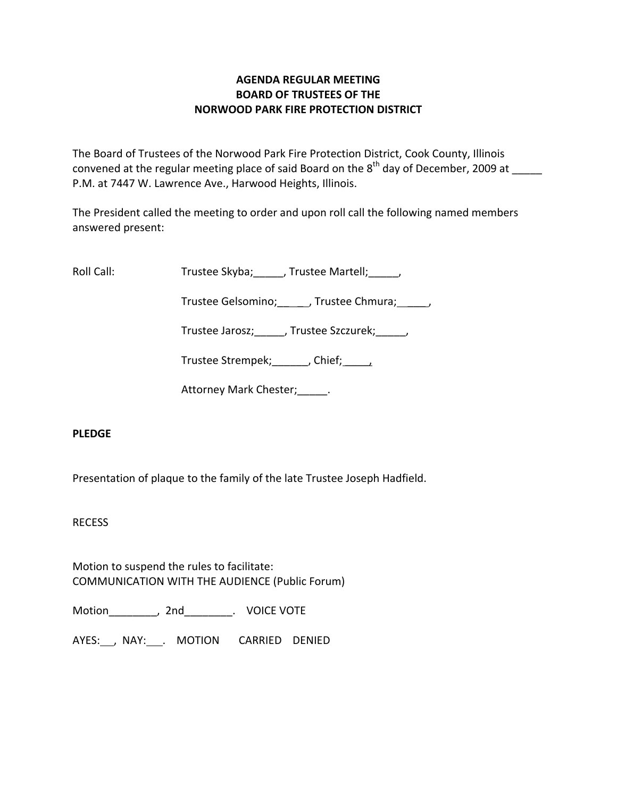## **AGENDA REGULAR MEETING BOARD OF TRUSTEES OF THE NORWOOD PARK FIRE PROTECTION DISTRICT**

The Board of Trustees of the Norwood Park Fire Protection District, Cook County, Illinois convened at the regular meeting place of said Board on the  $8^{\text{th}}$  day of December, 2009 at  $\_\_$ P.M. at 7447 W. Lawrence Ave., Harwood Heights, Illinois.

The President called the meeting to order and upon roll call the following named members answered present:

Roll Call: Trustee Skyba; J. Trustee Martell; Trustee Martell;

Trustee Gelsomino; frustee Chmura;  $\qquad$ 

Trustee Jarosz; J. Trustee Szczurek; J.

Trustee Strempek; finition of the Chief; the chief; the chief; the chief; the chief

Attorney Mark Chester; Fig.

# **PLEDGE**

Presentation of plaque to the family of the late Trustee Joseph Hadfield.

RECESS

Motion to suspend the rules to facilitate: COMMUNICATION WITH THE AUDIENCE (Public Forum)

Motion\_\_\_\_\_\_\_\_, 2nd\_\_\_\_\_\_\_\_. VOICE VOTE

AYES: NAY: MOTION CARRIED DENIED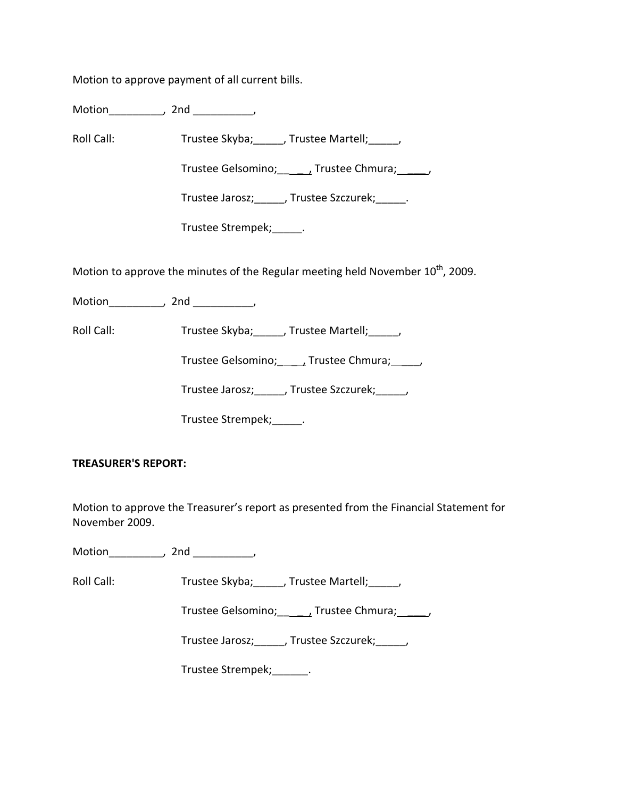Motion to approve payment of all current bills.

Motion\_\_\_\_\_\_\_\_\_, 2nd \_\_\_\_\_\_\_\_\_\_,

Roll Call: Trustee Skyba; Trustee Martell; Trustee Martell;

Trustee Gelsomino; frustee Chmura;  $\qquad$ 

Trustee Jarosz;\_\_\_\_\_, Trustee Szczurek;\_\_\_\_\_.

Trustee Strempek;\_\_\_\_\_.

Motion to approve the minutes of the Regular meeting held November  $10^{th}$ , 2009.

Motion the motion of the motion of the motion of the motion of the motion of the motion of the motion of the m<br>Second motion of the motion of the motion of the motion of the motion of the motion of the motion of the motio<br>

Roll Call: Trustee Skyba; \_\_\_\_, Trustee Martell; \_\_\_\_,

Trustee Gelsomino; \_\_\_\_\_, Trustee Chmura; \_\_\_\_\_,

Trustee Jarosz; J. Trustee Szczurek; J.

Trustee Strempek; [11]

### **TREASURER'S REPORT:**

Motion to approve the Treasurer's report as presented from the Financial Statement for November 2009.

Motion\_\_\_\_\_\_\_\_\_, 2nd \_\_\_\_\_\_\_\_\_\_,

Roll Call: Trustee Skyba; Trustee Martell; Trustee Martell;

Trustee Gelsomino; \_\_\_\_\_\_, Trustee Chmura; \_\_\_\_\_\_,

Trustee Jarosz;\_\_\_\_\_, Trustee Szczurek;\_\_\_\_\_,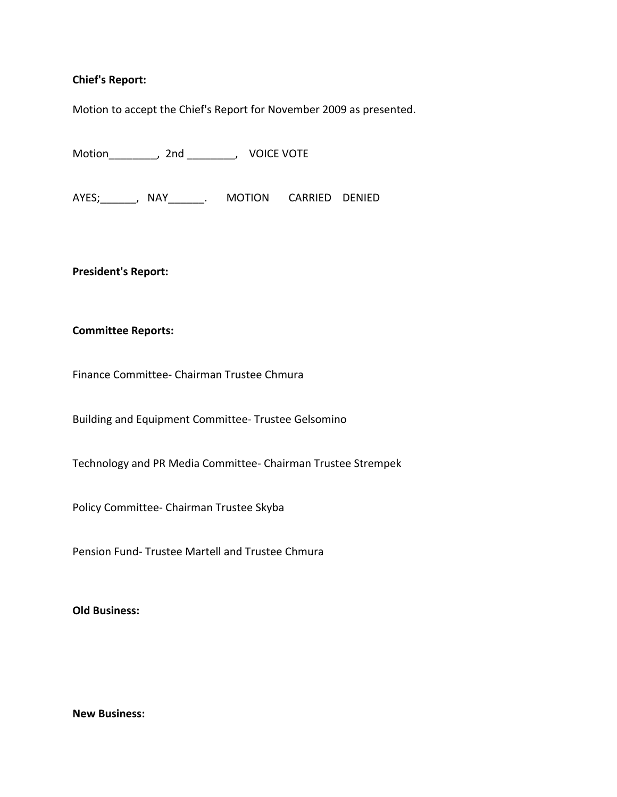### **Chief's Report:**

Motion to accept the Chief's Report for November 2009 as presented.

Motion\_\_\_\_\_\_\_\_, 2nd \_\_\_\_\_\_\_\_, VOICE VOTE

AYES; NAY MOTION CARRIED DENIED

**President's Report:**

### **Committee Reports:**

Finance Committee‐ Chairman Trustee Chmura

Building and Equipment Committee‐ Trustee Gelsomino

Technology and PR Media Committee‐ Chairman Trustee Strempek

Policy Committee‐ Chairman Trustee Skyba

Pension Fund‐ Trustee Martell and Trustee Chmura

**Old Business:**

**New Business:**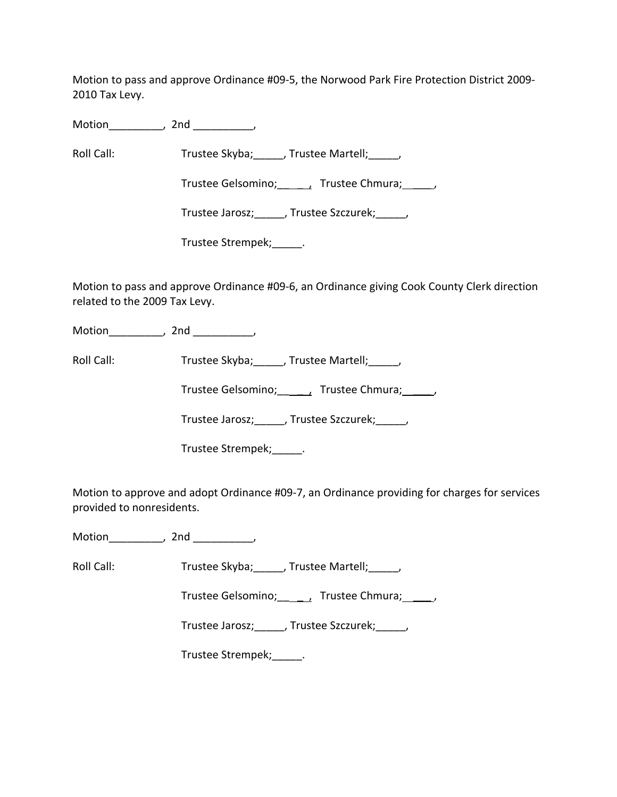Motion to pass and approve Ordinance #09‐5, the Norwood Park Fire Protection District 2009‐ 2010 Tax Levy.

Motion\_\_\_\_\_\_\_\_\_, 2nd \_\_\_\_\_\_\_\_\_\_,

Roll Call: Trustee Skyba; \_\_\_\_, Trustee Martell; \_\_\_\_,

Trustee Gelsomino; \_\_\_\_\_\_, Trustee Chmura; \_\_\_\_\_,

Trustee Jarosz;\_\_\_\_\_, Trustee Szczurek;\_\_\_\_\_,

Trustee Strempek;\_\_\_\_\_.

Motion to pass and approve Ordinance #09‐6, an Ordinance giving Cook County Clerk direction related to the 2009 Tax Levy.

Motion\_\_\_\_\_\_\_\_\_, 2nd \_\_\_\_\_\_\_\_\_\_,

Roll Call: Trustee Skyba; Trustee Martell;

Trustee Gelsomino; \_\_\_\_\_, Trustee Chmura; \_\_\_\_\_,

Trustee Jarosz;\_\_\_\_\_, Trustee Szczurek;\_\_\_\_\_,

Trustee Strempek;\_\_\_\_\_.

Motion to approve and adopt Ordinance #09‐7, an Ordinance providing for charges for services provided to nonresidents.

Motion\_\_\_\_\_\_\_\_\_\_, 2nd \_\_\_\_\_\_\_\_\_\_,

Roll Call: Trustee Skyba; J. Trustee Martell; J.

Trustee Gelsomino; \_\_\_\_\_, Trustee Chmura; \_\_\_\_\_,

Trustee Jarosz;\_\_\_\_\_, Trustee Szczurek;\_\_\_\_\_,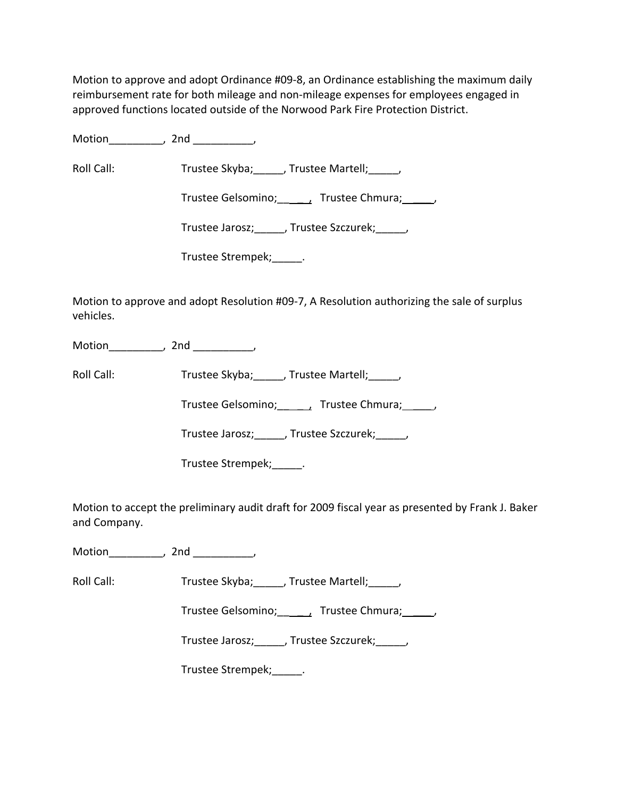Motion to approve and adopt Ordinance #09‐8, an Ordinance establishing the maximum daily reimbursement rate for both mileage and non-mileage expenses for employees engaged in approved functions located outside of the Norwood Park Fire Protection District.

Motion the motion of the motion of the motion of the motion of the motion of the motion of the motion of the m<br>Second motion of the motion of the motion of the motion of the motion of the motion of the motion of the motio<br>

Roll Call: Trustee Skyba; Trustee Martell; Trustee Martell;

Trustee Gelsomino; \_\_\_\_\_, Trustee Chmura; \_\_\_\_\_,

Trustee Jarosz; Frustee Szczurek; Frustee Jarosz;

Trustee Strempek;\_\_\_\_\_.

Motion to approve and adopt Resolution #09‐7, A Resolution authorizing the sale of surplus vehicles.

Motion\_\_\_\_\_\_\_\_\_, 2nd \_\_\_\_\_\_\_\_\_\_,

Roll Call: Trustee Skyba; \_\_\_\_, Trustee Martell; \_\_\_\_,

Trustee Gelsomino; \_\_\_\_\_, Trustee Chmura; \_\_\_\_\_,

Trustee Jarosz; J. Trustee Szczurek; J.

Trustee Strempek; Lateration

Motion to accept the preliminary audit draft for 2009 fiscal year as presented by Frank J. Baker and Company.

Motion\_\_\_\_\_\_\_\_\_, 2nd \_\_\_\_\_\_\_\_\_\_,

Roll Call: Trustee Skyba; Trustee Martell; Trustee Martell;

Trustee Gelsomino; \_\_\_\_\_, Trustee Chmura; \_\_\_\_\_,

Trustee Jarosz;\_\_\_\_\_, Trustee Szczurek;\_\_\_\_\_,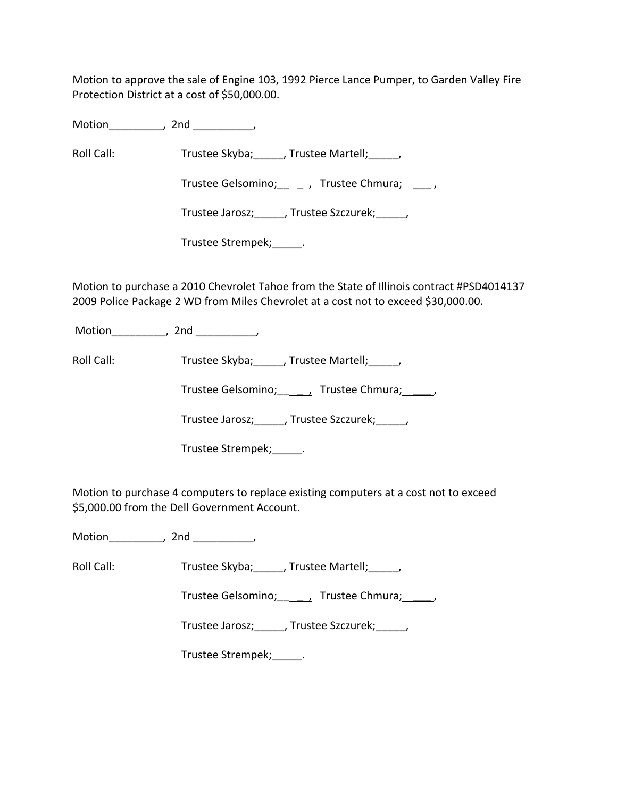Motion to approve the sale of Engine 103, 1992 Pierce Lance Pumper, to Garden Valley Fire Protection District at a cost of \$50,000.00.

Motion the motion of the motion of the motion of the motion of the motion of the motion of the motion of the m<br>Second motion of the motion of the motion of the motion of the motion of the motion of the motion of the motio<br>

Roll Call: Trustee Skyba; J. Trustee Martell; Trustee Martell;

Trustee Gelsomino; \_\_\_\_\_\_, Trustee Chmura; \_\_\_\_\_,

Trustee Jarosz;\_\_\_\_\_, Trustee Szczurek;\_\_\_\_\_,

Trustee Strempek;\_\_\_\_\_.

Motion to purchase a 2010 Chevrolet Tahoe from the State of Illinois contract #PSD4014137 2009 Police Package 2 WD from Miles Chevrolet at a cost not to exceed \$30,000.00.

Motion\_\_\_\_\_\_\_\_\_, 2nd \_\_\_\_\_\_\_\_\_\_,

Roll Call: Trustee Skyba; Trustee Martell; Trustee Martell;

Trustee Gelsomino; frustee Chmura;  $\qquad$ ,

Trustee Jarosz;\_\_\_\_\_, Trustee Szczurek;\_\_\_\_\_,

Trustee Strempek;\_\_\_\_\_.

Motion to purchase 4 computers to replace existing computers at a cost not to exceed \$5,000.00 from the Dell Government Account.

Motion\_\_\_\_\_\_\_\_\_\_, 2nd \_\_\_\_\_\_\_\_\_\_,

Roll Call: Trustee Skyba; J. Trustee Martell; J.

Trustee Gelsomino; \_\_\_\_\_, Trustee Chmura; \_\_\_\_\_,

Trustee Jarosz; J. Trustee Szczurek; J.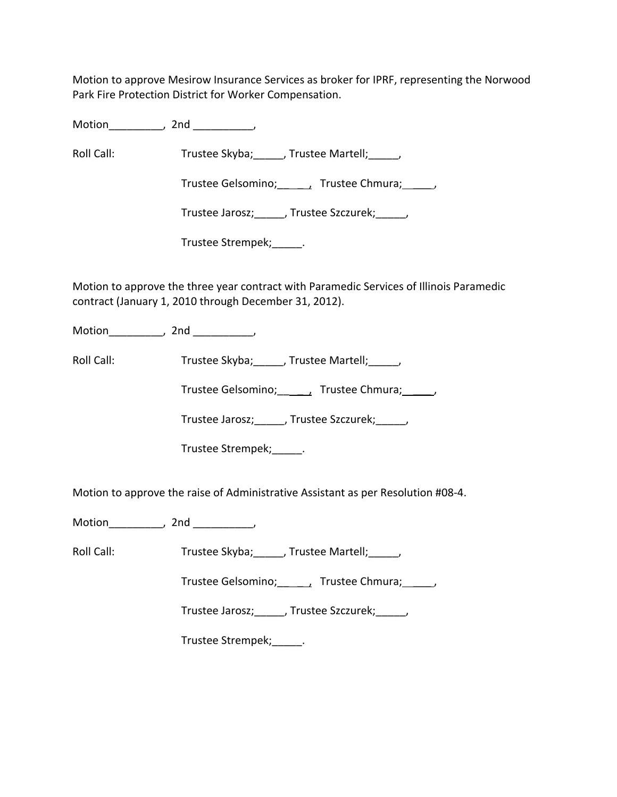Motion to approve Mesirow Insurance Services as broker for IPRF, representing the Norwood Park Fire Protection District for Worker Compensation.

Motion\_\_\_\_\_\_\_\_\_, 2nd \_\_\_\_\_\_\_\_\_\_,

Roll Call: Trustee Skyba; J. Trustee Martell; Trustee Martell;

Trustee Gelsomino; \_\_\_\_\_\_, Trustee Chmura; \_\_\_\_\_,

Trustee Jarosz;\_\_\_\_\_, Trustee Szczurek;\_\_\_\_\_,

Trustee Strempek;\_\_\_\_\_.

Motion to approve the three year contract with Paramedic Services of Illinois Paramedic contract (January 1, 2010 through December 31, 2012).

Motion\_\_\_\_\_\_\_\_\_, 2nd \_\_\_\_\_\_\_\_\_\_,

Roll Call: Trustee Skyba; Trustee Martell; Trustee Martell;

Trustee Gelsomino; frustee Chmura;  $\qquad$ ,

Trustee Jarosz;\_\_\_\_\_, Trustee Szczurek;\_\_\_\_\_,

Trustee Strempek;\_\_\_\_\_.

Motion to approve the raise of Administrative Assistant as per Resolution #08‐4.

Motion\_\_\_\_\_\_\_\_\_, 2nd \_\_\_\_\_\_\_\_\_\_,

Roll Call: Trustee Skyba; Frustee Martell; Frustee Martell;

Trustee Gelsomino; \_\_\_\_\_\_, Trustee Chmura; \_\_\_\_\_,

Trustee Jarosz;\_\_\_\_\_, Trustee Szczurek;\_\_\_\_\_,